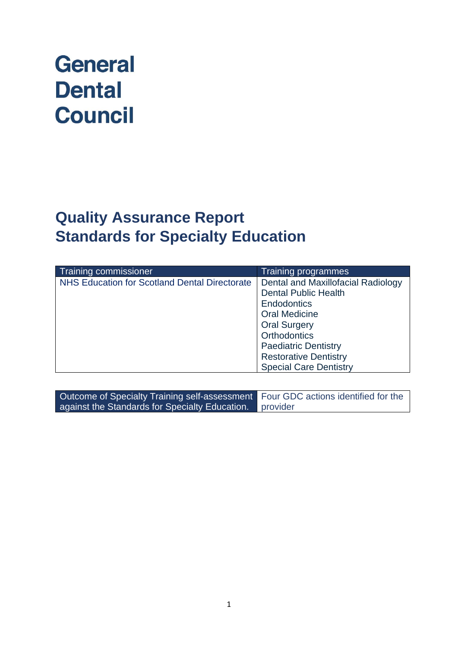# **General Dental Council**

# **Quality Assurance Report Standards for Specialty Education**

| Training commissioner                                | <b>Training programmes</b>                |
|------------------------------------------------------|-------------------------------------------|
| <b>NHS Education for Scotland Dental Directorate</b> | <b>Dental and Maxillofacial Radiology</b> |
|                                                      | <b>Dental Public Health</b>               |
|                                                      | <b>Endodontics</b>                        |
|                                                      | <b>Oral Medicine</b>                      |
|                                                      | <b>Oral Surgery</b>                       |
|                                                      | <b>Orthodontics</b>                       |
|                                                      | <b>Paediatric Dentistry</b>               |
|                                                      | <b>Restorative Dentistry</b>              |
|                                                      | <b>Special Care Dentistry</b>             |

| Outcome of Specialty Training self-assessment Four GDC actions identified for the |          |
|-----------------------------------------------------------------------------------|----------|
| against the Standards for Specialty Education.                                    | provider |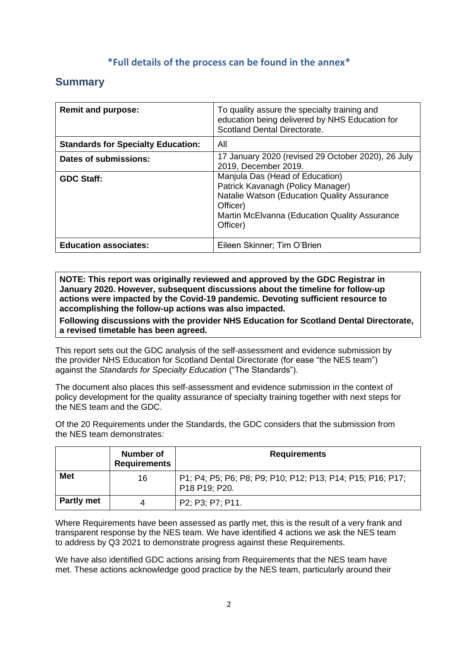### **\*Full details of the process can be found in the annex\***

## **Summary**

| <b>Remit and purpose:</b>                 | To quality assure the specialty training and<br>education being delivered by NHS Education for<br>Scotland Dental Directorate.                                                               |
|-------------------------------------------|----------------------------------------------------------------------------------------------------------------------------------------------------------------------------------------------|
| <b>Standards for Specialty Education:</b> | All                                                                                                                                                                                          |
| Dates of submissions:                     | 17 January 2020 (revised 29 October 2020), 26 July<br>2019, December 2019.                                                                                                                   |
| <b>GDC Staff:</b>                         | Manjula Das (Head of Education)<br>Patrick Kavanagh (Policy Manager)<br>Natalie Watson (Education Quality Assurance<br>Officer)<br>Martin McElvanna (Education Quality Assurance<br>Officer) |
| <b>Education associates:</b>              | Eileen Skinner; Tim O'Brien                                                                                                                                                                  |

**NOTE: This report was originally reviewed and approved by the GDC Registrar in January 2020. However, subsequent discussions about the timeline for follow-up actions were impacted by the Covid-19 pandemic. Devoting sufficient resource to accomplishing the follow-up actions was also impacted.**

**Following discussions with the provider NHS Education for Scotland Dental Directorate, a revised timetable has been agreed.**

This report sets out the GDC analysis of the self-assessment and evidence submission by the provider NHS Education for Scotland Dental Directorate (for ease "the NES team") against the *Standards for Specialty Education* ("The Standards").

The document also places this self-assessment and evidence submission in the context of policy development for the quality assurance of specialty training together with next steps for the NES team and the GDC.

Of the 20 Requirements under the Standards, the GDC considers that the submission from the NES team demonstrates:

|                   | Number of<br><b>Requirements</b> | <b>Requirements</b>                                                         |
|-------------------|----------------------------------|-----------------------------------------------------------------------------|
| <b>Met</b>        | 16                               | P1; P4; P5; P6; P8; P9; P10; P12; P13; P14; P15; P16; P17;<br>P18 P19; P20. |
| <b>Partly met</b> |                                  | P2; P3; P7; P11.                                                            |

Where Requirements have been assessed as partly met, this is the result of a very frank and transparent response by the NES team. We have identified 4 actions we ask the NES team to address by Q3 2021 to demonstrate progress against these Requirements.

We have also identified GDC actions arising from Requirements that the NES team have met. These actions acknowledge good practice by the NES team, particularly around their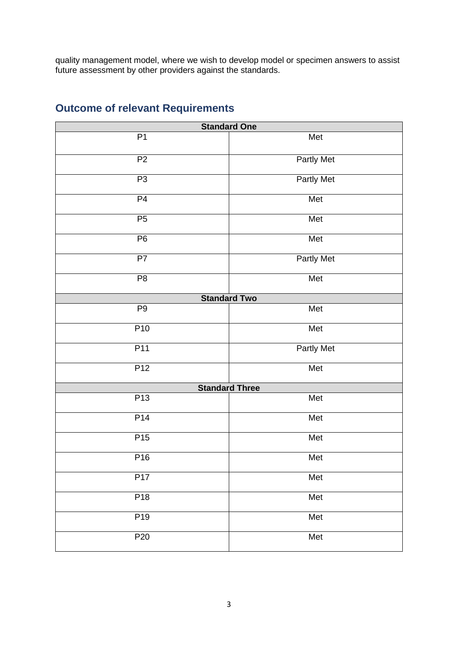quality management model, where we wish to develop model or specimen answers to assist future assessment by other providers against the standards.

| <b>Standard One</b> |                       |  |
|---------------------|-----------------------|--|
| P1                  | Met                   |  |
| P <sub>2</sub>      | <b>Partly Met</b>     |  |
| P3                  | <b>Partly Met</b>     |  |
| P4                  | Met                   |  |
| P <sub>5</sub>      | Met                   |  |
| P6                  | Met                   |  |
| P7                  | <b>Partly Met</b>     |  |
| P <sub>8</sub>      | Met                   |  |
|                     | <b>Standard Two</b>   |  |
| P <sub>9</sub>      | Met                   |  |
| P <sub>10</sub>     | Met                   |  |
| P11                 | <b>Partly Met</b>     |  |
| P12                 | Met                   |  |
|                     | <b>Standard Three</b> |  |
| P13                 | Met                   |  |
| P14                 | Met                   |  |
| P <sub>15</sub>     | Met                   |  |
| P <sub>16</sub>     | Met                   |  |
| P17                 | Met                   |  |
| P <sub>18</sub>     | Met                   |  |
| P <sub>19</sub>     | Met                   |  |
| P <sub>20</sub>     | Met                   |  |

# **Outcome of relevant Requirements**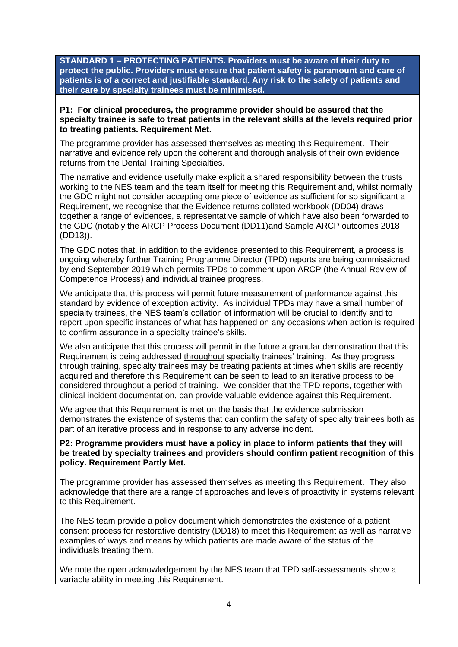**STANDARD 1 – PROTECTING PATIENTS. Providers must be aware of their duty to protect the public. Providers must ensure that patient safety is paramount and care of patients is of a correct and justifiable standard. Any risk to the safety of patients and their care by specialty trainees must be minimised.**

**P1: For clinical procedures, the programme provider should be assured that the specialty trainee is safe to treat patients in the relevant skills at the levels required prior to treating patients. Requirement Met.**

The programme provider has assessed themselves as meeting this Requirement. Their narrative and evidence rely upon the coherent and thorough analysis of their own evidence returns from the Dental Training Specialties.

The narrative and evidence usefully make explicit a shared responsibility between the trusts working to the NES team and the team itself for meeting this Requirement and, whilst normally the GDC might not consider accepting one piece of evidence as sufficient for so significant a Requirement, we recognise that the Evidence returns collated workbook (DD04) draws together a range of evidences, a representative sample of which have also been forwarded to the GDC (notably the ARCP Process Document (DD11)and Sample ARCP outcomes 2018 (DD13)).

The GDC notes that, in addition to the evidence presented to this Requirement, a process is ongoing whereby further Training Programme Director (TPD) reports are being commissioned by end September 2019 which permits TPDs to comment upon ARCP (the Annual Review of Competence Process) and individual trainee progress.

We anticipate that this process will permit future measurement of performance against this standard by evidence of exception activity. As individual TPDs may have a small number of specialty trainees, the NES team's collation of information will be crucial to identify and to report upon specific instances of what has happened on any occasions when action is required to confirm assurance in a specialty trainee's skills.

We also anticipate that this process will permit in the future a granular demonstration that this Requirement is being addressed throughout specialty trainees' training. As they progress through training, specialty trainees may be treating patients at times when skills are recently acquired and therefore this Requirement can be seen to lead to an iterative process to be considered throughout a period of training. We consider that the TPD reports, together with clinical incident documentation, can provide valuable evidence against this Requirement.

We agree that this Requirement is met on the basis that the evidence submission demonstrates the existence of systems that can confirm the safety of specialty trainees both as part of an iterative process and in response to any adverse incident.

**P2: Programme providers must have a policy in place to inform patients that they will be treated by specialty trainees and providers should confirm patient recognition of this policy. Requirement Partly Met.**

The programme provider has assessed themselves as meeting this Requirement. They also acknowledge that there are a range of approaches and levels of proactivity in systems relevant to this Requirement.

The NES team provide a policy document which demonstrates the existence of a patient consent process for restorative dentistry (DD18) to meet this Requirement as well as narrative examples of ways and means by which patients are made aware of the status of the individuals treating them.

We note the open acknowledgement by the NES team that TPD self-assessments show a variable ability in meeting this Requirement.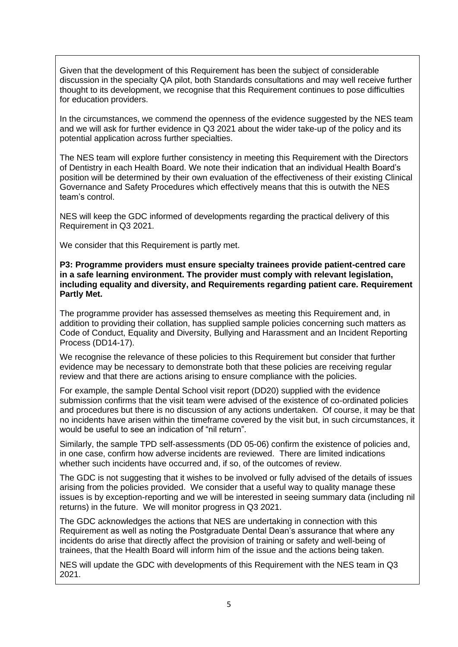Given that the development of this Requirement has been the subject of considerable discussion in the specialty QA pilot, both Standards consultations and may well receive further thought to its development, we recognise that this Requirement continues to pose difficulties for education providers.

In the circumstances, we commend the openness of the evidence suggested by the NES team and we will ask for further evidence in Q3 2021 about the wider take-up of the policy and its potential application across further specialties.

The NES team will explore further consistency in meeting this Requirement with the Directors of Dentistry in each Health Board. We note their indication that an individual Health Board's position will be determined by their own evaluation of the effectiveness of their existing Clinical Governance and Safety Procedures which effectively means that this is outwith the NES team's control.

NES will keep the GDC informed of developments regarding the practical delivery of this Requirement in Q3 2021.

We consider that this Requirement is partly met.

**P3: Programme providers must ensure specialty trainees provide patient-centred care in a safe learning environment. The provider must comply with relevant legislation, including equality and diversity, and Requirements regarding patient care. Requirement Partly Met.**

The programme provider has assessed themselves as meeting this Requirement and, in addition to providing their collation, has supplied sample policies concerning such matters as Code of Conduct, Equality and Diversity, Bullying and Harassment and an Incident Reporting Process (DD14-17).

We recognise the relevance of these policies to this Requirement but consider that further evidence may be necessary to demonstrate both that these policies are receiving regular review and that there are actions arising to ensure compliance with the policies.

For example, the sample Dental School visit report (DD20) supplied with the evidence submission confirms that the visit team were advised of the existence of co-ordinated policies and procedures but there is no discussion of any actions undertaken. Of course, it may be that no incidents have arisen within the timeframe covered by the visit but, in such circumstances, it would be useful to see an indication of "nil return".

Similarly, the sample TPD self-assessments (DD 05-06) confirm the existence of policies and, in one case, confirm how adverse incidents are reviewed. There are limited indications whether such incidents have occurred and, if so, of the outcomes of review.

The GDC is not suggesting that it wishes to be involved or fully advised of the details of issues arising from the policies provided. We consider that a useful way to quality manage these issues is by exception-reporting and we will be interested in seeing summary data (including nil returns) in the future. We will monitor progress in Q3 2021.

The GDC acknowledges the actions that NES are undertaking in connection with this Requirement as well as noting the Postgraduate Dental Dean's assurance that where any incidents do arise that directly affect the provision of training or safety and well-being of trainees, that the Health Board will inform him of the issue and the actions being taken.

NES will update the GDC with developments of this Requirement with the NES team in Q3 2021.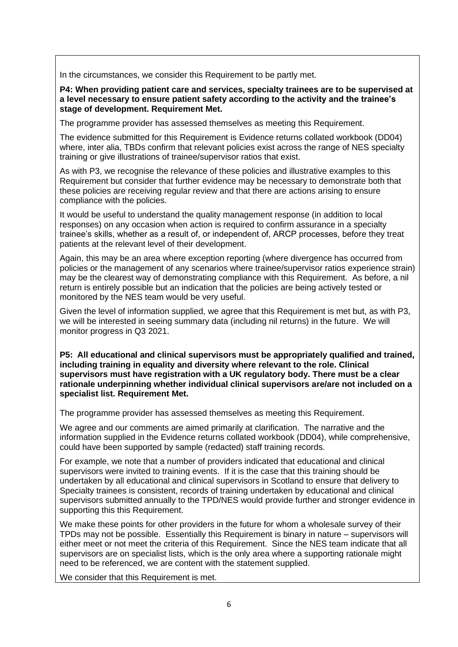In the circumstances, we consider this Requirement to be partly met.

**P4: When providing patient care and services, specialty trainees are to be supervised at a level necessary to ensure patient safety according to the activity and the trainee's stage of development. Requirement Met.**

The programme provider has assessed themselves as meeting this Requirement.

The evidence submitted for this Requirement is Evidence returns collated workbook (DD04) where, inter alia, TBDs confirm that relevant policies exist across the range of NES specialty training or give illustrations of trainee/supervisor ratios that exist.

As with P3, we recognise the relevance of these policies and illustrative examples to this Requirement but consider that further evidence may be necessary to demonstrate both that these policies are receiving regular review and that there are actions arising to ensure compliance with the policies.

It would be useful to understand the quality management response (in addition to local responses) on any occasion when action is required to confirm assurance in a specialty trainee's skills, whether as a result of, or independent of, ARCP processes, before they treat patients at the relevant level of their development.

Again, this may be an area where exception reporting (where divergence has occurred from policies or the management of any scenarios where trainee/supervisor ratios experience strain) may be the clearest way of demonstrating compliance with this Requirement. As before, a nil return is entirely possible but an indication that the policies are being actively tested or monitored by the NES team would be very useful.

Given the level of information supplied, we agree that this Requirement is met but, as with P3, we will be interested in seeing summary data (including nil returns) in the future. We will monitor progress in Q3 2021.

**P5: All educational and clinical supervisors must be appropriately qualified and trained, including training in equality and diversity where relevant to the role. Clinical supervisors must have registration with a UK regulatory body. There must be a clear rationale underpinning whether individual clinical supervisors are/are not included on a specialist list. Requirement Met.**

The programme provider has assessed themselves as meeting this Requirement.

We agree and our comments are aimed primarily at clarification. The narrative and the information supplied in the Evidence returns collated workbook (DD04), while comprehensive, could have been supported by sample (redacted) staff training records.

For example, we note that a number of providers indicated that educational and clinical supervisors were invited to training events. If it is the case that this training should be undertaken by all educational and clinical supervisors in Scotland to ensure that delivery to Specialty trainees is consistent, records of training undertaken by educational and clinical supervisors submitted annually to the TPD/NES would provide further and stronger evidence in supporting this this Requirement.

We make these points for other providers in the future for whom a wholesale survey of their TPDs may not be possible. Essentially this Requirement is binary in nature – supervisors will either meet or not meet the criteria of this Requirement. Since the NES team indicate that all supervisors are on specialist lists, which is the only area where a supporting rationale might need to be referenced, we are content with the statement supplied.

We consider that this Requirement is met.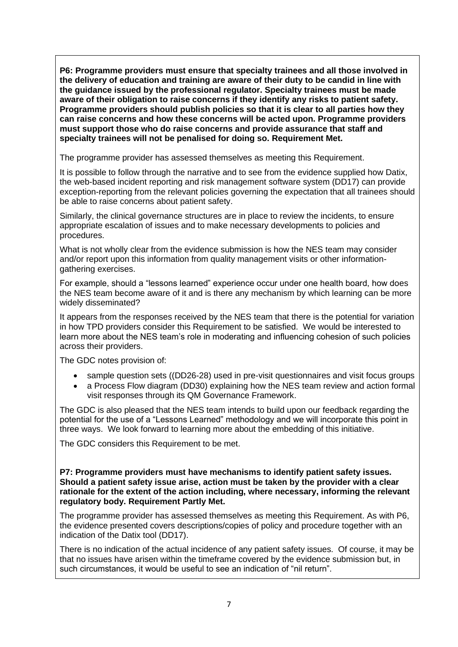**P6: Programme providers must ensure that specialty trainees and all those involved in the delivery of education and training are aware of their duty to be candid in line with the guidance issued by the professional regulator. Specialty trainees must be made aware of their obligation to raise concerns if they identify any risks to patient safety. Programme providers should publish policies so that it is clear to all parties how they can raise concerns and how these concerns will be acted upon. Programme providers must support those who do raise concerns and provide assurance that staff and specialty trainees will not be penalised for doing so. Requirement Met.**

The programme provider has assessed themselves as meeting this Requirement.

It is possible to follow through the narrative and to see from the evidence supplied how Datix, the web-based incident reporting and risk management software system (DD17) can provide exception-reporting from the relevant policies governing the expectation that all trainees should be able to raise concerns about patient safety.

Similarly, the clinical governance structures are in place to review the incidents, to ensure appropriate escalation of issues and to make necessary developments to policies and procedures.

What is not wholly clear from the evidence submission is how the NES team may consider and/or report upon this information from quality management visits or other informationgathering exercises.

For example, should a "lessons learned" experience occur under one health board, how does the NES team become aware of it and is there any mechanism by which learning can be more widely disseminated?

It appears from the responses received by the NES team that there is the potential for variation in how TPD providers consider this Requirement to be satisfied. We would be interested to learn more about the NES team's role in moderating and influencing cohesion of such policies across their providers.

The GDC notes provision of:

- sample question sets ((DD26-28) used in pre-visit questionnaires and visit focus groups
- a Process Flow diagram (DD30) explaining how the NES team review and action formal visit responses through its QM Governance Framework.

The GDC is also pleased that the NES team intends to build upon our feedback regarding the potential for the use of a "Lessons Learned" methodology and we will incorporate this point in three ways. We look forward to learning more about the embedding of this initiative.

The GDC considers this Requirement to be met.

**P7: Programme providers must have mechanisms to identify patient safety issues. Should a patient safety issue arise, action must be taken by the provider with a clear rationale for the extent of the action including, where necessary, informing the relevant regulatory body. Requirement Partly Met.**

The programme provider has assessed themselves as meeting this Requirement. As with P6, the evidence presented covers descriptions/copies of policy and procedure together with an indication of the Datix tool (DD17).

There is no indication of the actual incidence of any patient safety issues. Of course, it may be that no issues have arisen within the timeframe covered by the evidence submission but, in such circumstances, it would be useful to see an indication of "nil return".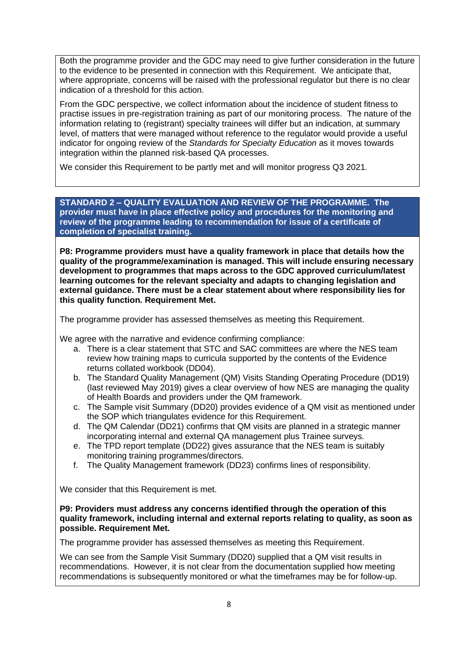Both the programme provider and the GDC may need to give further consideration in the future to the evidence to be presented in connection with this Requirement. We anticipate that, where appropriate, concerns will be raised with the professional regulator but there is no clear indication of a threshold for this action.

From the GDC perspective, we collect information about the incidence of student fitness to practise issues in pre-registration training as part of our monitoring process. The nature of the information relating to (registrant) specialty trainees will differ but an indication, at summary level, of matters that were managed without reference to the regulator would provide a useful indicator for ongoing review of the *Standards for Specialty Education* as it moves towards integration within the planned risk-based QA processes.

We consider this Requirement to be partly met and will monitor progress Q3 2021.

**STANDARD 2 – QUALITY EVALUATION AND REVIEW OF THE PROGRAMME. The provider must have in place effective policy and procedures for the monitoring and review of the programme leading to recommendation for issue of a certificate of completion of specialist training.**

**P8: Programme providers must have a quality framework in place that details how the quality of the programme/examination is managed. This will include ensuring necessary development to programmes that maps across to the GDC approved curriculum/latest learning outcomes for the relevant specialty and adapts to changing legislation and external guidance. There must be a clear statement about where responsibility lies for this quality function. Requirement Met.**

The programme provider has assessed themselves as meeting this Requirement.

We agree with the narrative and evidence confirming compliance:

- a. There is a clear statement that STC and SAC committees are where the NES team review how training maps to curricula supported by the contents of the Evidence returns collated workbook (DD04).
- b. The Standard Quality Management (QM) Visits Standing Operating Procedure (DD19) (last reviewed May 2019) gives a clear overview of how NES are managing the quality of Health Boards and providers under the QM framework.
- c. The Sample visit Summary (DD20) provides evidence of a QM visit as mentioned under the SOP which triangulates evidence for this Requirement.
- d. The QM Calendar (DD21) confirms that QM visits are planned in a strategic manner incorporating internal and external QA management plus Trainee surveys.
- e. The TPD report template (DD22) gives assurance that the NES team is suitably monitoring training programmes/directors.
- f. The Quality Management framework (DD23) confirms lines of responsibility.

We consider that this Requirement is met.

**P9: Providers must address any concerns identified through the operation of this quality framework, including internal and external reports relating to quality, as soon as possible. Requirement Met.**

The programme provider has assessed themselves as meeting this Requirement.

We can see from the Sample Visit Summary (DD20) supplied that a QM visit results in recommendations. However, it is not clear from the documentation supplied how meeting recommendations is subsequently monitored or what the timeframes may be for follow-up.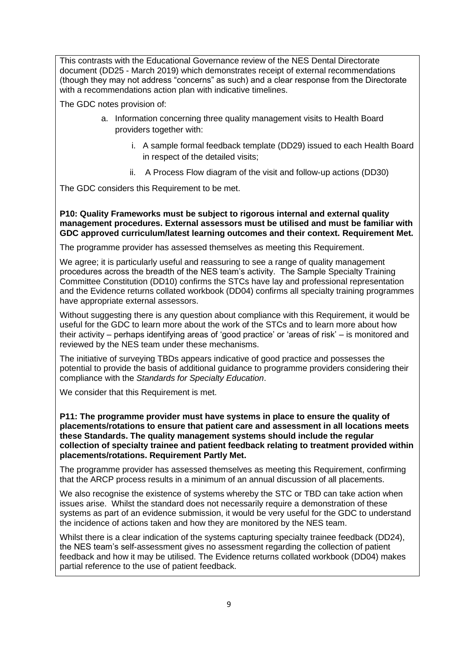This contrasts with the Educational Governance review of the NES Dental Directorate document (DD25 - March 2019) which demonstrates receipt of external recommendations (though they may not address "concerns" as such) and a clear response from the Directorate with a recommendations action plan with indicative timelines.

The GDC notes provision of:

- a. Information concerning three quality management visits to Health Board providers together with:
	- i. A sample formal feedback template (DD29) issued to each Health Board in respect of the detailed visits;
	- ii. A Process Flow diagram of the visit and follow-up actions (DD30)

The GDC considers this Requirement to be met.

**P10: Quality Frameworks must be subject to rigorous internal and external quality management procedures. External assessors must be utilised and must be familiar with GDC approved curriculum/latest learning outcomes and their context. Requirement Met.**

The programme provider has assessed themselves as meeting this Requirement.

We agree; it is particularly useful and reassuring to see a range of quality management procedures across the breadth of the NES team's activity. The Sample Specialty Training Committee Constitution (DD10) confirms the STCs have lay and professional representation and the Evidence returns collated workbook (DD04) confirms all specialty training programmes have appropriate external assessors.

Without suggesting there is any question about compliance with this Requirement, it would be useful for the GDC to learn more about the work of the STCs and to learn more about how their activity – perhaps identifying areas of 'good practice' or 'areas of risk' – is monitored and reviewed by the NES team under these mechanisms.

The initiative of surveying TBDs appears indicative of good practice and possesses the potential to provide the basis of additional guidance to programme providers considering their compliance with the *Standards for Specialty Education*.

We consider that this Requirement is met.

**P11: The programme provider must have systems in place to ensure the quality of placements/rotations to ensure that patient care and assessment in all locations meets these Standards. The quality management systems should include the regular collection of specialty trainee and patient feedback relating to treatment provided within placements/rotations. Requirement Partly Met.**

The programme provider has assessed themselves as meeting this Requirement, confirming that the ARCP process results in a minimum of an annual discussion of all placements.

We also recognise the existence of systems whereby the STC or TBD can take action when issues arise. Whilst the standard does not necessarily require a demonstration of these systems as part of an evidence submission, it would be very useful for the GDC to understand the incidence of actions taken and how they are monitored by the NES team.

Whilst there is a clear indication of the systems capturing specialty trainee feedback (DD24), the NES team's self-assessment gives no assessment regarding the collection of patient feedback and how it may be utilised. The Evidence returns collated workbook (DD04) makes partial reference to the use of patient feedback.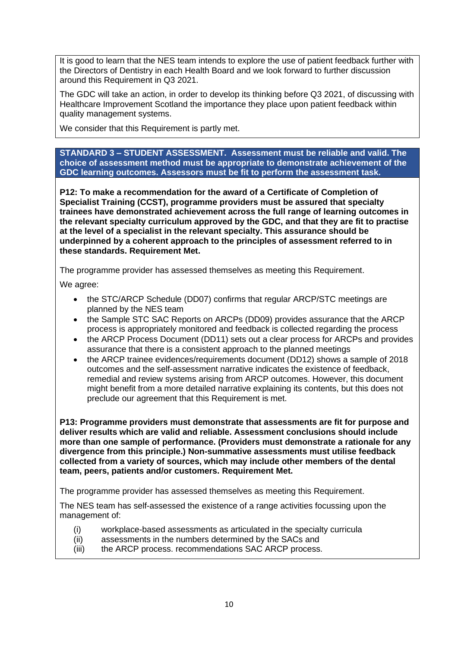It is good to learn that the NES team intends to explore the use of patient feedback further with the Directors of Dentistry in each Health Board and we look forward to further discussion around this Requirement in Q3 2021.

The GDC will take an action, in order to develop its thinking before Q3 2021, of discussing with Healthcare Improvement Scotland the importance they place upon patient feedback within quality management systems.

We consider that this Requirement is partly met.

**STANDARD 3 – STUDENT ASSESSMENT. Assessment must be reliable and valid. The choice of assessment method must be appropriate to demonstrate achievement of the GDC learning outcomes. Assessors must be fit to perform the assessment task.**

**P12: To make a recommendation for the award of a Certificate of Completion of Specialist Training (CCST), programme providers must be assured that specialty trainees have demonstrated achievement across the full range of learning outcomes in the relevant specialty curriculum approved by the GDC, and that they are fit to practise at the level of a specialist in the relevant specialty. This assurance should be underpinned by a coherent approach to the principles of assessment referred to in these standards. Requirement Met.**

The programme provider has assessed themselves as meeting this Requirement.

We agree:

- the STC/ARCP Schedule (DD07) confirms that regular ARCP/STC meetings are planned by the NES team
- the Sample STC SAC Reports on ARCPs (DD09) provides assurance that the ARCP process is appropriately monitored and feedback is collected regarding the process
- the ARCP Process Document (DD11) sets out a clear process for ARCPs and provides assurance that there is a consistent approach to the planned meetings
- the ARCP trainee evidences/requirements document (DD12) shows a sample of 2018 outcomes and the self-assessment narrative indicates the existence of feedback, remedial and review systems arising from ARCP outcomes. However, this document might benefit from a more detailed narrative explaining its contents, but this does not preclude our agreement that this Requirement is met.

**P13: Programme providers must demonstrate that assessments are fit for purpose and deliver results which are valid and reliable. Assessment conclusions should include more than one sample of performance. (Providers must demonstrate a rationale for any divergence from this principle.) Non-summative assessments must utilise feedback collected from a variety of sources, which may include other members of the dental team, peers, patients and/or customers. Requirement Met.**

The programme provider has assessed themselves as meeting this Requirement.

The NES team has self-assessed the existence of a range activities focussing upon the management of:

- (i) workplace-based assessments as articulated in the specialty curricula
- (ii) assessments in the numbers determined by the SACs and
- (iii) the ARCP process. recommendations SAC ARCP process.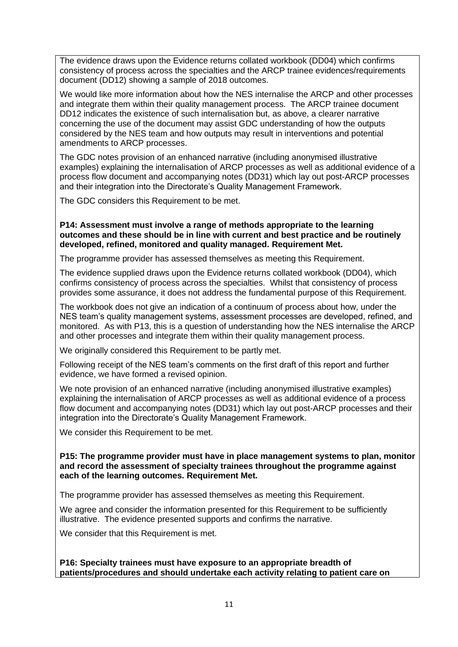The evidence draws upon the Evidence returns collated workbook (DD04) which confirms consistency of process across the specialties and the ARCP trainee evidences/requirements document (DD12) showing a sample of 2018 outcomes.

We would like more information about how the NES internalise the ARCP and other processes and integrate them within their quality management process. The ARCP trainee document DD12 indicates the existence of such internalisation but, as above, a clearer narrative concerning the use of the document may assist GDC understanding of how the outputs considered by the NES team and how outputs may result in interventions and potential amendments to ARCP processes.

The GDC notes provision of an enhanced narrative (including anonymised illustrative examples) explaining the internalisation of ARCP processes as well as additional evidence of a process flow document and accompanying notes (DD31) which lay out post-ARCP processes and their integration into the Directorate's Quality Management Framework.

The GDC considers this Requirement to be met.

**P14: Assessment must involve a range of methods appropriate to the learning outcomes and these should be in line with current and best practice and be routinely developed, refined, monitored and quality managed. Requirement Met.**

The programme provider has assessed themselves as meeting this Requirement.

The evidence supplied draws upon the Evidence returns collated workbook (DD04), which confirms consistency of process across the specialties. Whilst that consistency of process provides some assurance, it does not address the fundamental purpose of this Requirement.

The workbook does not give an indication of a continuum of process about how, under the NES team's quality management systems, assessment processes are developed, refined, and monitored. As with P13, this is a question of understanding how the NES internalise the ARCP and other processes and integrate them within their quality management process.

We originally considered this Requirement to be partly met.

Following receipt of the NES team's comments on the first draft of this report and further evidence, we have formed a revised opinion.

We note provision of an enhanced narrative (including anonymised illustrative examples) explaining the internalisation of ARCP processes as well as additional evidence of a process flow document and accompanying notes (DD31) which lay out post-ARCP processes and their integration into the Directorate's Quality Management Framework.

We consider this Requirement to be met.

**P15: The programme provider must have in place management systems to plan, monitor and record the assessment of specialty trainees throughout the programme against each of the learning outcomes. Requirement Met.**

The programme provider has assessed themselves as meeting this Requirement.

We agree and consider the information presented for this Requirement to be sufficiently illustrative. The evidence presented supports and confirms the narrative.

We consider that this Requirement is met.

**P16: Specialty trainees must have exposure to an appropriate breadth of patients/procedures and should undertake each activity relating to patient care on**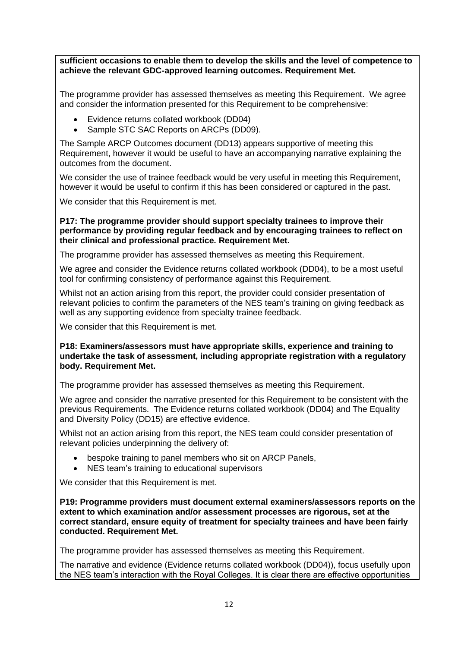**sufficient occasions to enable them to develop the skills and the level of competence to achieve the relevant GDC-approved learning outcomes. Requirement Met.**

The programme provider has assessed themselves as meeting this Requirement. We agree and consider the information presented for this Requirement to be comprehensive:

- Evidence returns collated workbook (DD04)
- Sample STC SAC Reports on ARCPs (DD09).

The Sample ARCP Outcomes document (DD13) appears supportive of meeting this Requirement, however it would be useful to have an accompanying narrative explaining the outcomes from the document.

We consider the use of trainee feedback would be very useful in meeting this Requirement, however it would be useful to confirm if this has been considered or captured in the past.

We consider that this Requirement is met.

#### **P17: The programme provider should support specialty trainees to improve their performance by providing regular feedback and by encouraging trainees to reflect on their clinical and professional practice. Requirement Met.**

The programme provider has assessed themselves as meeting this Requirement.

We agree and consider the Evidence returns collated workbook (DD04), to be a most useful tool for confirming consistency of performance against this Requirement.

Whilst not an action arising from this report, the provider could consider presentation of relevant policies to confirm the parameters of the NES team's training on giving feedback as well as any supporting evidence from specialty trainee feedback.

We consider that this Requirement is met.

**P18: Examiners/assessors must have appropriate skills, experience and training to undertake the task of assessment, including appropriate registration with a regulatory body. Requirement Met.**

The programme provider has assessed themselves as meeting this Requirement.

We agree and consider the narrative presented for this Requirement to be consistent with the previous Requirements. The Evidence returns collated workbook (DD04) and The Equality and Diversity Policy (DD15) are effective evidence.

Whilst not an action arising from this report, the NES team could consider presentation of relevant policies underpinning the delivery of:

- bespoke training to panel members who sit on ARCP Panels,
- NES team's training to educational supervisors

We consider that this Requirement is met.

**P19: Programme providers must document external examiners/assessors reports on the extent to which examination and/or assessment processes are rigorous, set at the correct standard, ensure equity of treatment for specialty trainees and have been fairly conducted. Requirement Met.**

The programme provider has assessed themselves as meeting this Requirement.

The narrative and evidence (Evidence returns collated workbook (DD04)), focus usefully upon the NES team's interaction with the Royal Colleges. It is clear there are effective opportunities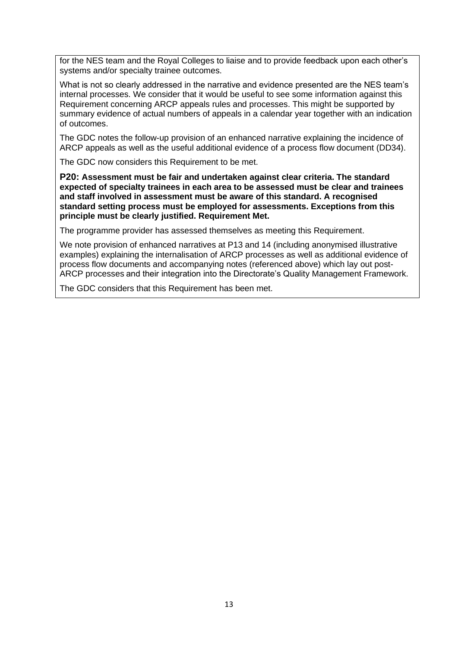for the NES team and the Royal Colleges to liaise and to provide feedback upon each other's systems and/or specialty trainee outcomes.

What is not so clearly addressed in the narrative and evidence presented are the NES team's internal processes. We consider that it would be useful to see some information against this Requirement concerning ARCP appeals rules and processes. This might be supported by summary evidence of actual numbers of appeals in a calendar year together with an indication of outcomes.

The GDC notes the follow-up provision of an enhanced narrative explaining the incidence of ARCP appeals as well as the useful additional evidence of a process flow document (DD34).

The GDC now considers this Requirement to be met.

**P20: Assessment must be fair and undertaken against clear criteria. The standard expected of specialty trainees in each area to be assessed must be clear and trainees and staff involved in assessment must be aware of this standard. A recognised standard setting process must be employed for assessments. Exceptions from this principle must be clearly justified. Requirement Met.**

The programme provider has assessed themselves as meeting this Requirement.

We note provision of enhanced narratives at P13 and 14 (including anonymised illustrative examples) explaining the internalisation of ARCP processes as well as additional evidence of process flow documents and accompanying notes (referenced above) which lay out post-ARCP processes and their integration into the Directorate's Quality Management Framework.

The GDC considers that this Requirement has been met.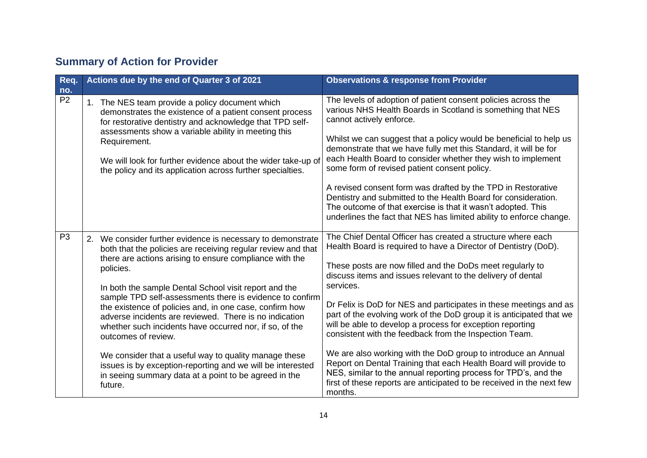# **Summary of Action for Provider**

| Req.                  | Actions due by the end of Quarter 3 of 2021                                                                                                                                                                                                                                                                              | <b>Observations &amp; response from Provider</b>                                                                                                                                                                                                                                         |
|-----------------------|--------------------------------------------------------------------------------------------------------------------------------------------------------------------------------------------------------------------------------------------------------------------------------------------------------------------------|------------------------------------------------------------------------------------------------------------------------------------------------------------------------------------------------------------------------------------------------------------------------------------------|
| no.<br>P <sub>2</sub> |                                                                                                                                                                                                                                                                                                                          | The levels of adoption of patient consent policies across the                                                                                                                                                                                                                            |
|                       | 1. The NES team provide a policy document which<br>demonstrates the existence of a patient consent process<br>for restorative dentistry and acknowledge that TPD self-                                                                                                                                                   | various NHS Health Boards in Scotland is something that NES<br>cannot actively enforce.                                                                                                                                                                                                  |
|                       | assessments show a variable ability in meeting this<br>Requirement.                                                                                                                                                                                                                                                      | Whilst we can suggest that a policy would be beneficial to help us<br>demonstrate that we have fully met this Standard, it will be for                                                                                                                                                   |
|                       | We will look for further evidence about the wider take-up of<br>the policy and its application across further specialties.                                                                                                                                                                                               | each Health Board to consider whether they wish to implement<br>some form of revised patient consent policy.                                                                                                                                                                             |
|                       |                                                                                                                                                                                                                                                                                                                          | A revised consent form was drafted by the TPD in Restorative<br>Dentistry and submitted to the Health Board for consideration.                                                                                                                                                           |
|                       |                                                                                                                                                                                                                                                                                                                          | The outcome of that exercise is that it wasn't adopted. This<br>underlines the fact that NES has limited ability to enforce change.                                                                                                                                                      |
| P <sub>3</sub>        | We consider further evidence is necessary to demonstrate<br>2.<br>both that the policies are receiving regular review and that                                                                                                                                                                                           | The Chief Dental Officer has created a structure where each<br>Health Board is required to have a Director of Dentistry (DoD).                                                                                                                                                           |
|                       | there are actions arising to ensure compliance with the<br>policies.                                                                                                                                                                                                                                                     | These posts are now filled and the DoDs meet regularly to<br>discuss items and issues relevant to the delivery of dental                                                                                                                                                                 |
|                       | In both the sample Dental School visit report and the<br>sample TPD self-assessments there is evidence to confirm<br>the existence of policies and, in one case, confirm how<br>adverse incidents are reviewed. There is no indication<br>whether such incidents have occurred nor, if so, of the<br>outcomes of review. | services.                                                                                                                                                                                                                                                                                |
|                       |                                                                                                                                                                                                                                                                                                                          | Dr Felix is DoD for NES and participates in these meetings and as<br>part of the evolving work of the DoD group it is anticipated that we<br>will be able to develop a process for exception reporting<br>consistent with the feedback from the Inspection Team.                         |
|                       | We consider that a useful way to quality manage these<br>issues is by exception-reporting and we will be interested<br>in seeing summary data at a point to be agreed in the<br>future.                                                                                                                                  | We are also working with the DoD group to introduce an Annual<br>Report on Dental Training that each Health Board will provide to<br>NES, similar to the annual reporting process for TPD's, and the<br>first of these reports are anticipated to be received in the next few<br>months. |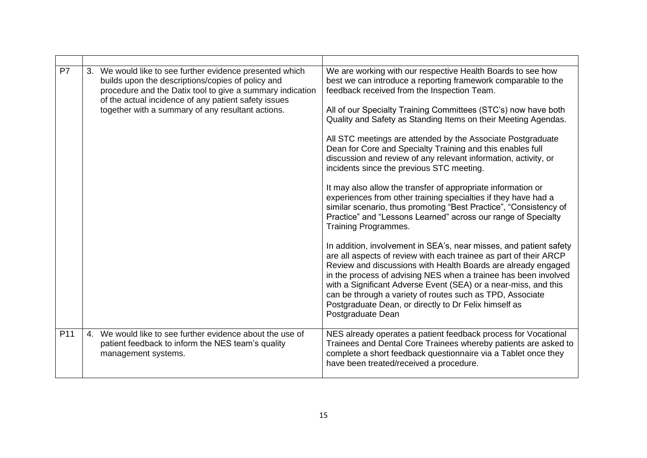| P7              | We would like to see further evidence presented which<br>3.<br>builds upon the descriptions/copies of policy and<br>procedure and the Datix tool to give a summary indication<br>of the actual incidence of any patient safety issues<br>together with a summary of any resultant actions. | We are working with our respective Health Boards to see how<br>best we can introduce a reporting framework comparable to the<br>feedback received from the Inspection Team.<br>All of our Specialty Training Committees (STC's) now have both<br>Quality and Safety as Standing Items on their Meeting Agendas.<br>All STC meetings are attended by the Associate Postgraduate<br>Dean for Core and Specialty Training and this enables full<br>discussion and review of any relevant information, activity, or<br>incidents since the previous STC meeting.<br>It may also allow the transfer of appropriate information or<br>experiences from other training specialties if they have had a<br>similar scenario, thus promoting "Best Practice", "Consistency of<br>Practice" and "Lessons Learned" across our range of Specialty<br>Training Programmes.<br>In addition, involvement in SEA's, near misses, and patient safety<br>are all aspects of review with each trainee as part of their ARCP<br>Review and discussions with Health Boards are already engaged<br>in the process of advising NES when a trainee has been involved |
|-----------------|--------------------------------------------------------------------------------------------------------------------------------------------------------------------------------------------------------------------------------------------------------------------------------------------|---------------------------------------------------------------------------------------------------------------------------------------------------------------------------------------------------------------------------------------------------------------------------------------------------------------------------------------------------------------------------------------------------------------------------------------------------------------------------------------------------------------------------------------------------------------------------------------------------------------------------------------------------------------------------------------------------------------------------------------------------------------------------------------------------------------------------------------------------------------------------------------------------------------------------------------------------------------------------------------------------------------------------------------------------------------------------------------------------------------------------------------------|
|                 |                                                                                                                                                                                                                                                                                            | with a Significant Adverse Event (SEA) or a near-miss, and this<br>can be through a variety of routes such as TPD, Associate<br>Postgraduate Dean, or directly to Dr Felix himself as<br>Postgraduate Dean                                                                                                                                                                                                                                                                                                                                                                                                                                                                                                                                                                                                                                                                                                                                                                                                                                                                                                                                  |
| P <sub>11</sub> | We would like to see further evidence about the use of<br>4.<br>patient feedback to inform the NES team's quality<br>management systems.                                                                                                                                                   | NES already operates a patient feedback process for Vocational<br>Trainees and Dental Core Trainees whereby patients are asked to<br>complete a short feedback questionnaire via a Tablet once they<br>have been treated/received a procedure.                                                                                                                                                                                                                                                                                                                                                                                                                                                                                                                                                                                                                                                                                                                                                                                                                                                                                              |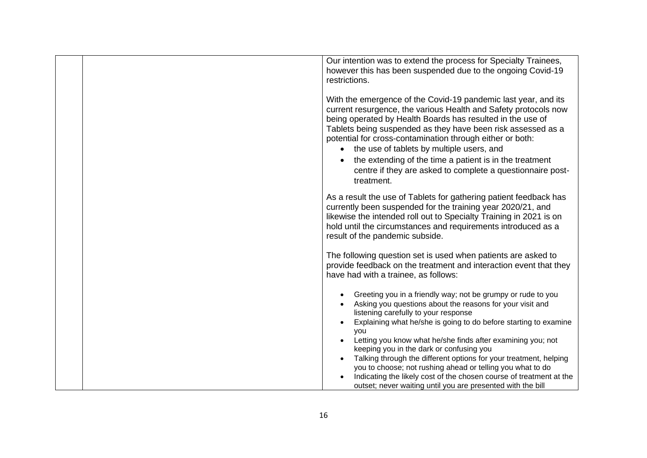| Our intention was to extend the process for Specialty Trainees,<br>however this has been suspended due to the ongoing Covid-19<br>restrictions.<br>With the emergence of the Covid-19 pandemic last year, and its                                                                                                                                                                                                                                |
|--------------------------------------------------------------------------------------------------------------------------------------------------------------------------------------------------------------------------------------------------------------------------------------------------------------------------------------------------------------------------------------------------------------------------------------------------|
| current resurgence, the various Health and Safety protocols now<br>being operated by Health Boards has resulted in the use of<br>Tablets being suspended as they have been risk assessed as a<br>potential for cross-contamination through either or both:<br>• the use of tablets by multiple users, and<br>the extending of the time a patient is in the treatment<br>centre if they are asked to complete a questionnaire post-<br>treatment. |
| As a result the use of Tablets for gathering patient feedback has<br>currently been suspended for the training year 2020/21, and<br>likewise the intended roll out to Specialty Training in 2021 is on<br>hold until the circumstances and requirements introduced as a<br>result of the pandemic subside.                                                                                                                                       |
| The following question set is used when patients are asked to<br>provide feedback on the treatment and interaction event that they<br>have had with a trainee, as follows:                                                                                                                                                                                                                                                                       |
| Greeting you in a friendly way; not be grumpy or rude to you<br>Asking you questions about the reasons for your visit and<br>listening carefully to your response<br>Explaining what he/she is going to do before starting to examine<br>you                                                                                                                                                                                                     |
| Letting you know what he/she finds after examining you; not<br>keeping you in the dark or confusing you<br>Talking through the different options for your treatment, helping<br>you to choose; not rushing ahead or telling you what to do<br>Indicating the likely cost of the chosen course of treatment at the<br>outset; never waiting until you are presented with the bill                                                                 |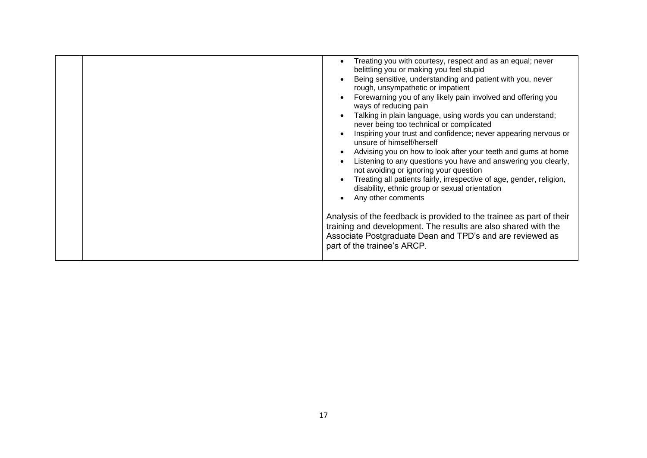| Treating you with courtesy, respect and as an equal; never<br>belittling you or making you feel stupid<br>Being sensitive, understanding and patient with you, never<br>rough, unsympathetic or impatient<br>Forewarning you of any likely pain involved and offering you<br>ways of reducing pain<br>Talking in plain language, using words you can understand;<br>never being too technical or complicated<br>Inspiring your trust and confidence; never appearing nervous or<br>unsure of himself/herself<br>Advising you on how to look after your teeth and gums at home<br>Listening to any questions you have and answering you clearly,<br>not avoiding or ignoring your question<br>Treating all patients fairly, irrespective of age, gender, religion,<br>disability, ethnic group or sexual orientation<br>Any other comments |
|-------------------------------------------------------------------------------------------------------------------------------------------------------------------------------------------------------------------------------------------------------------------------------------------------------------------------------------------------------------------------------------------------------------------------------------------------------------------------------------------------------------------------------------------------------------------------------------------------------------------------------------------------------------------------------------------------------------------------------------------------------------------------------------------------------------------------------------------|
| Analysis of the feedback is provided to the trainee as part of their<br>training and development. The results are also shared with the<br>Associate Postgraduate Dean and TPD's and are reviewed as<br>part of the trainee's ARCP.                                                                                                                                                                                                                                                                                                                                                                                                                                                                                                                                                                                                        |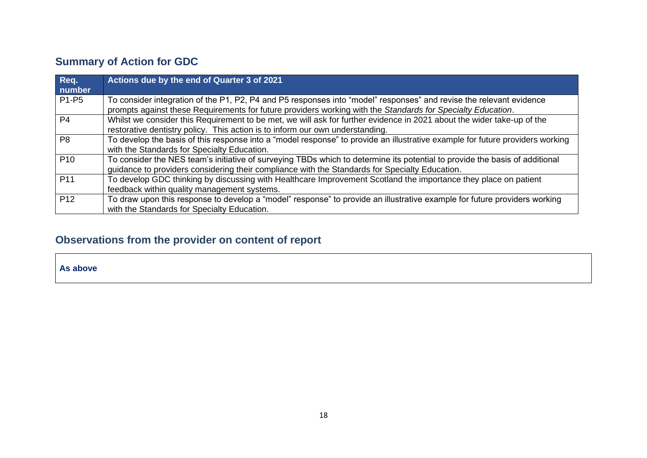# **Summary of Action for GDC**

| Req.<br>number                 | Actions due by the end of Quarter 3 of 2021                                                                                                                                                                                        |
|--------------------------------|------------------------------------------------------------------------------------------------------------------------------------------------------------------------------------------------------------------------------------|
| P <sub>1</sub> -P <sub>5</sub> | To consider integration of the P1, P2, P4 and P5 responses into "model" responses" and revise the relevant evidence<br>prompts against these Requirements for future providers working with the Standards for Specialty Education. |
| P <sub>4</sub>                 | Whilst we consider this Requirement to be met, we will ask for further evidence in 2021 about the wider take-up of the<br>restorative dentistry policy. This action is to inform our own understanding.                            |
| P <sub>8</sub>                 | To develop the basis of this response into a "model response" to provide an illustrative example for future providers working<br>with the Standards for Specialty Education.                                                       |
| P <sub>10</sub>                | To consider the NES team's initiative of surveying TBDs which to determine its potential to provide the basis of additional<br>guidance to providers considering their compliance with the Standards for Specialty Education.      |
| P <sub>11</sub>                | To develop GDC thinking by discussing with Healthcare Improvement Scotland the importance they place on patient<br>feedback within quality management systems.                                                                     |
| P <sub>12</sub>                | To draw upon this response to develop a "model" response" to provide an illustrative example for future providers working<br>with the Standards for Specialty Education.                                                           |

# **Observations from the provider on content of report**

**As above**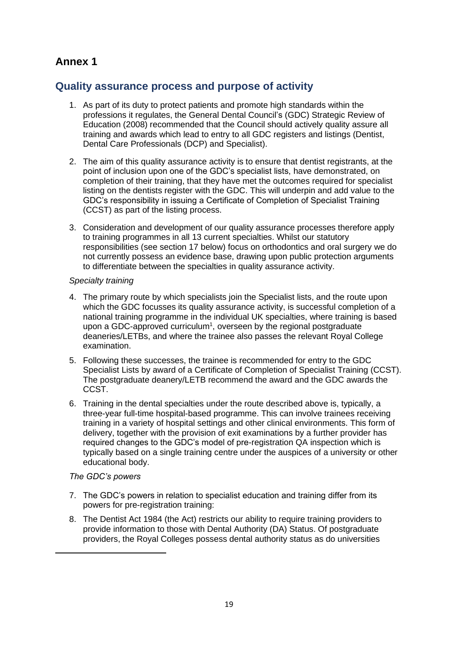## **Annex 1**

## **Quality assurance process and purpose of activity**

- 1. As part of its duty to protect patients and promote high standards within the professions it regulates, the General Dental Council's (GDC) Strategic Review of Education (2008) recommended that the Council should actively quality assure all training and awards which lead to entry to all GDC registers and listings (Dentist, Dental Care Professionals (DCP) and Specialist).
- 2. The aim of this quality assurance activity is to ensure that dentist registrants, at the point of inclusion upon one of the GDC's specialist lists, have demonstrated, on completion of their training, that they have met the outcomes required for specialist listing on the dentists register with the GDC. This will underpin and add value to the GDC's responsibility in issuing a Certificate of Completion of Specialist Training (CCST) as part of the listing process.
- 3. Consideration and development of our quality assurance processes therefore apply to training programmes in all 13 current specialties. Whilst our statutory responsibilities (see section 17 below) focus on orthodontics and oral surgery we do not currently possess an evidence base, drawing upon public protection arguments to differentiate between the specialties in quality assurance activity.

#### *Specialty training*

- 4. The primary route by which specialists join the Specialist lists, and the route upon which the GDC focusses its quality assurance activity, is successful completion of a national training programme in the individual UK specialties, where training is based upon a GDC-approved curriculum<sup>1</sup>, overseen by the regional postgraduate deaneries/LETBs, and where the trainee also passes the relevant Royal College examination.
- 5. Following these successes, the trainee is recommended for entry to the GDC Specialist Lists by award of a Certificate of Completion of Specialist Training (CCST). The postgraduate deanery/LETB recommend the award and the GDC awards the CCST.
- 6. Training in the dental specialties under the route described above is, typically, a three-year full-time hospital-based programme. This can involve trainees receiving training in a variety of hospital settings and other clinical environments. This form of delivery, together with the provision of exit examinations by a further provider has required changes to the GDC's model of pre-registration QA inspection which is typically based on a single training centre under the auspices of a university or other educational body.

#### *The GDC's powers*

- 7. The GDC's powers in relation to specialist education and training differ from its powers for pre-registration training:
- 8. The Dentist Act 1984 (the Act) restricts our ability to require training providers to provide information to those with Dental Authority (DA) Status. Of postgraduate providers, the Royal Colleges possess dental authority status as do universities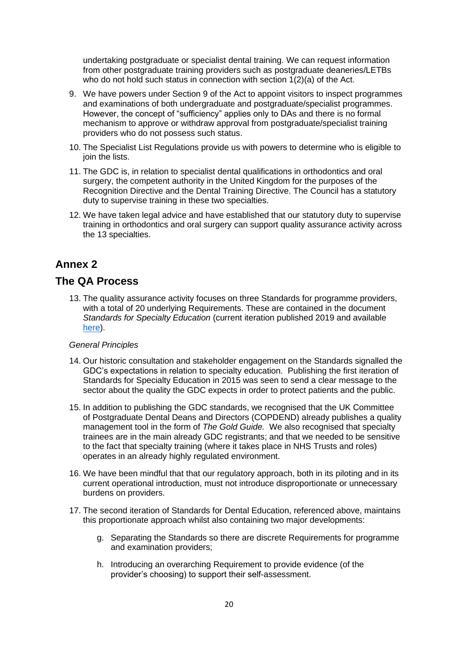undertaking postgraduate or specialist dental training. We can request information from other postgraduate training providers such as postgraduate deaneries/LETBs who do not hold such status in connection with section 1(2)(a) of the Act.

- 9. We have powers under Section 9 of the Act to appoint visitors to inspect programmes and examinations of both undergraduate and postgraduate/specialist programmes. However, the concept of "sufficiency" applies only to DAs and there is no formal mechanism to approve or withdraw approval from postgraduate/specialist training providers who do not possess such status.
- 10. The Specialist List Regulations provide us with powers to determine who is eligible to join the lists.
- 11. The GDC is, in relation to specialist dental qualifications in orthodontics and oral surgery, the competent authority in the United Kingdom for the purposes of the Recognition Directive and the Dental Training Directive. The Council has a statutory duty to supervise training in these two specialties.
- 12. We have taken legal advice and have established that our statutory duty to supervise training in orthodontics and oral surgery can support quality assurance activity across the 13 specialties.

## **Annex 2**

### **The QA Process**

13. The quality assurance activity focuses on three Standards for programme providers, with a total of 20 underlying Requirements. These are contained in the document *Standards for Specialty Education* (current iteration published 2019 and available [here\)](https://www.gdc-uk.org/professionals/specialist-lists).

#### *General Principles*

- 14. Our historic consultation and stakeholder engagement on the Standards signalled the GDC's expectations in relation to specialty education. Publishing the first iteration of Standards for Specialty Education in 2015 was seen to send a clear message to the sector about the quality the GDC expects in order to protect patients and the public.
- 15. In addition to publishing the GDC standards, we recognised that the UK Committee of Postgraduate Dental Deans and Directors (COPDEND) already publishes a quality management tool in the form of *The Gold Guide*. We also recognised that specialty trainees are in the main already GDC registrants; and that we needed to be sensitive to the fact that specialty training (where it takes place in NHS Trusts and roles) operates in an already highly regulated environment.
- 16. We have been mindful that that our regulatory approach, both in its piloting and in its current operational introduction, must not introduce disproportionate or unnecessary burdens on providers.
- 17. The second iteration of Standards for Dental Education, referenced above, maintains this proportionate approach whilst also containing two major developments:
	- g. Separating the Standards so there are discrete Requirements for programme and examination providers;
	- h. Introducing an overarching Requirement to provide evidence (of the provider's choosing) to support their self-assessment.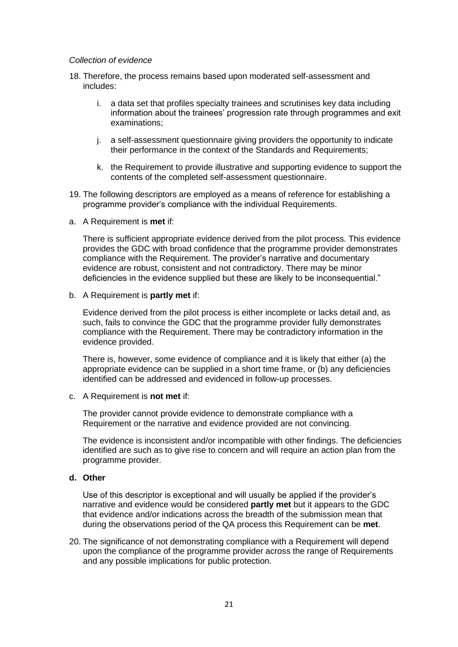#### *Collection of evidence*

- 18. Therefore, the process remains based upon moderated self-assessment and includes:
	- i. a data set that profiles specialty trainees and scrutinises key data including information about the trainees' progression rate through programmes and exit examinations;
	- j. a self-assessment questionnaire giving providers the opportunity to indicate their performance in the context of the Standards and Requirements;
	- k. the Requirement to provide illustrative and supporting evidence to support the contents of the completed self-assessment questionnaire.
- 19. The following descriptors are employed as a means of reference for establishing a programme provider's compliance with the individual Requirements.
- a. A Requirement is **met** if:

There is sufficient appropriate evidence derived from the pilot process. This evidence provides the GDC with broad confidence that the programme provider demonstrates compliance with the Requirement. The provider's narrative and documentary evidence are robust, consistent and not contradictory. There may be minor deficiencies in the evidence supplied but these are likely to be inconsequential."

b. A Requirement is **partly met** if:

Evidence derived from the pilot process is either incomplete or lacks detail and, as such, fails to convince the GDC that the programme provider fully demonstrates compliance with the Requirement. There may be contradictory information in the evidence provided.

There is, however, some evidence of compliance and it is likely that either (a) the appropriate evidence can be supplied in a short time frame, or (b) any deficiencies identified can be addressed and evidenced in follow-up processes.

c. A Requirement is **not met** if:

The provider cannot provide evidence to demonstrate compliance with a Requirement or the narrative and evidence provided are not convincing.

The evidence is inconsistent and/or incompatible with other findings. The deficiencies identified are such as to give rise to concern and will require an action plan from the programme provider.

**d. Other**

Use of this descriptor is exceptional and will usually be applied if the provider's narrative and evidence would be considered **partly met** but it appears to the GDC that evidence and/or indications across the breadth of the submission mean that during the observations period of the QA process this Requirement can be **met**.

20. The significance of not demonstrating compliance with a Requirement will depend upon the compliance of the programme provider across the range of Requirements and any possible implications for public protection.